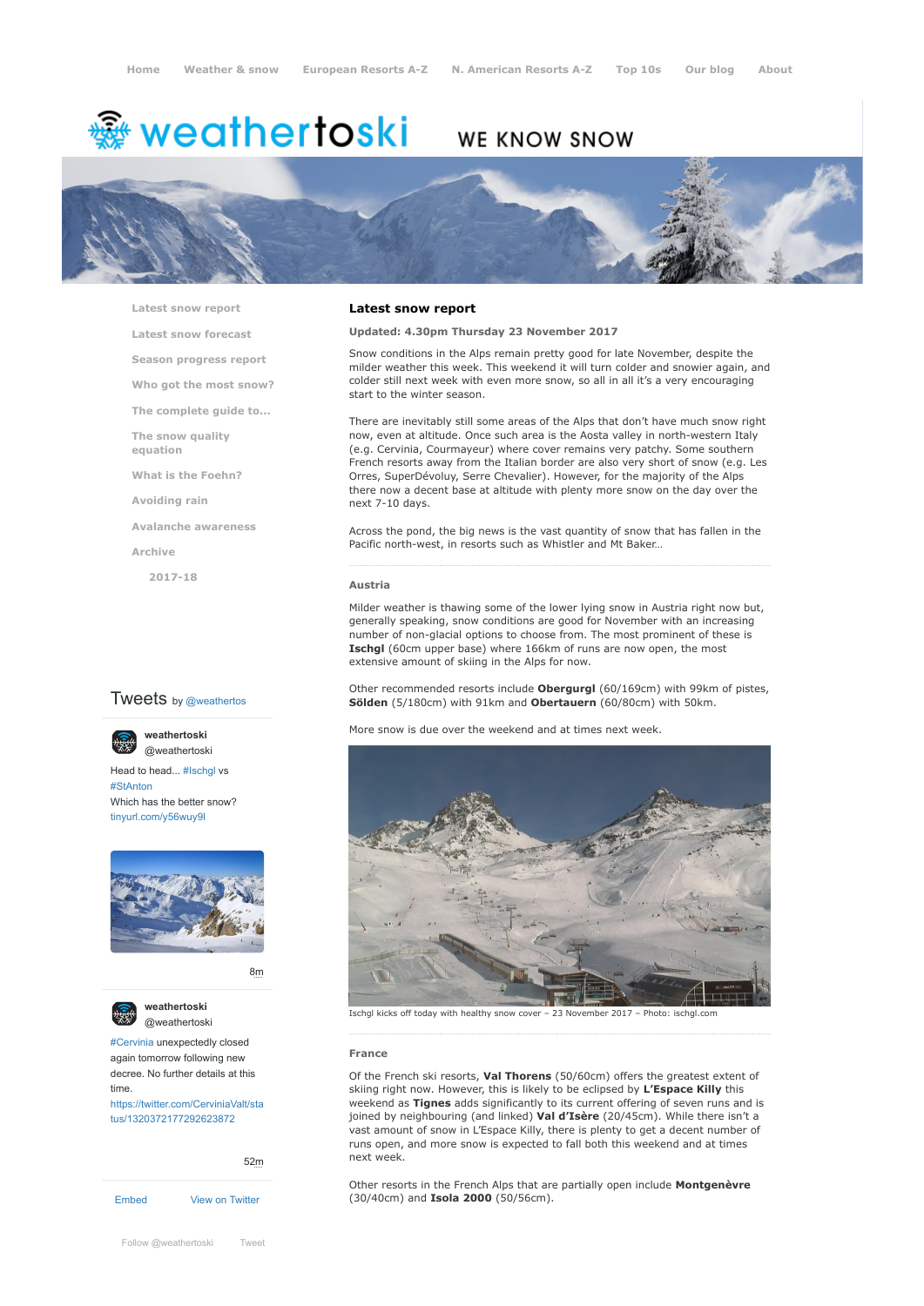# <del>▒</del> weathertoski

# WE KNOW SNOW



**[Latest snow report](https://www.weathertoski.co.uk/weather-snow/latest-snow-report/)**

**[Latest snow forecast](https://www.weathertoski.co.uk/weather-snow/latest-snow-forecast/)**

**[Season progress report](https://www.weathertoski.co.uk/weather-snow/season-progress-report/)**

**[Who got the most snow?](https://www.weathertoski.co.uk/weather-snow/who-got-the-most-snow/)**

**[The complete guide to...](https://www.weathertoski.co.uk/weather-snow/the-complete-guide-to/)**

**[The snow quality](https://www.weathertoski.co.uk/weather-snow/the-snow-quality-equation/)**

**[What is the Foehn?](https://www.weathertoski.co.uk/weather-snow/what-is-the-foehn/)**

**[Avoiding rain](https://www.weathertoski.co.uk/weather-snow/avoiding-rain/)**

**[Avalanche awareness](https://www.weathertoski.co.uk/weather-snow/avalanche-awareness/)**

**[Archive](https://www.weathertoski.co.uk/weather-snow/archive/)**

**equation**

**[2017-18](https://www.weathertoski.co.uk/weather-snow/archive/2017-18/)**

# **Tweets** by @weathertos

**weathertoski**



Head to head... [#Ischgl](https://twitter.com/hashtag/Ischgl?src=hash) vs [#StAnton](https://twitter.com/hashtag/StAnton?src=hash) Which has the better snow? [tinyurl.com/y56wuy9l](https://t.co/AeKkyB0N9S)



[8m](https://twitter.com/weathertoski/status/1320387692862050304)



**weathertoski** [@weathertoski](https://twitter.com/weathertoski)

[#Cervinia](https://twitter.com/hashtag/Cervinia?src=hash) unexpectedly closed again tomorrow following new decree. No further details at this time. [https://twitter.com/CerviniaValt/sta](https://twitter.com/CerviniaValt/status/1320372177292623872)

tus/1320372177292623872

[Embed](https://publish.twitter.com/?url=https%3A%2F%2Ftwitter.com%2Fweathertoski) [View on Twitter](https://twitter.com/weathertoski) [52m](https://twitter.com/weathertoski/status/1320376647305093126)

# **Latest snow report**

**Updated: 4.30pm Thursday 23 November 2017**

Snow conditions in the Alps remain pretty good for late November, despite the milder weather this week. This weekend it will turn colder and snowier again, and colder still next week with even more snow, so all in all it's a very encouraging start to the winter season.

There are inevitably still some areas of the Alps that don't have much snow right now, even at altitude. Once such area is the Aosta valley in north-western Italy (e.g. Cervinia, Courmayeur) where cover remains very patchy. Some southern French resorts away from the Italian border are also very short of snow (e.g. Les Orres, SuperDévoluy, Serre Chevalier). However, for the majority of the Alps there now a decent base at altitude with plenty more snow on the day over the next 7-10 days.

Across the pond, the big news is the vast quantity of snow that has fallen in the Pacific north-west, in resorts such as Whistler and Mt Baker…

#### **Austria**

Milder weather is thawing some of the lower lying snow in Austria right now but, generally speaking, snow conditions are good for November with an increasing number of non-glacial options to choose from. The most prominent of these is **Ischgl** (60cm upper base) where 166km of runs are now open, the most extensive amount of skiing in the Alps for now.

Other recommended resorts include **Obergurgl** (60/169cm) with 99km of pistes, **Sölden** (5/180cm) with 91km and **Obertauern** (60/80cm) with 50km.

More snow is due over the weekend and at times next week.



Ischgl kicks off today with healthy snow cover – 23 November 2017 – Photo: ischgl.com

#### **France**

Of the French ski resorts, **Val Thorens** (50/60cm) offers the greatest extent of skiing right now. However, this is likely to be eclipsed by **L'Espace Killy** this weekend as **Tignes** adds significantly to its current offering of seven runs and is joined by neighbouring (and linked) **Val d'Isère** (20/45cm). While there isn't a vast amount of snow in L'Espace Killy, there is plenty to get a decent number of runs open, and more snow is expected to fall both this weekend and at times next week.

Other resorts in the French Alps that are partially open include **Montgenèvre** (30/40cm) and **Isola 2000** (50/56cm).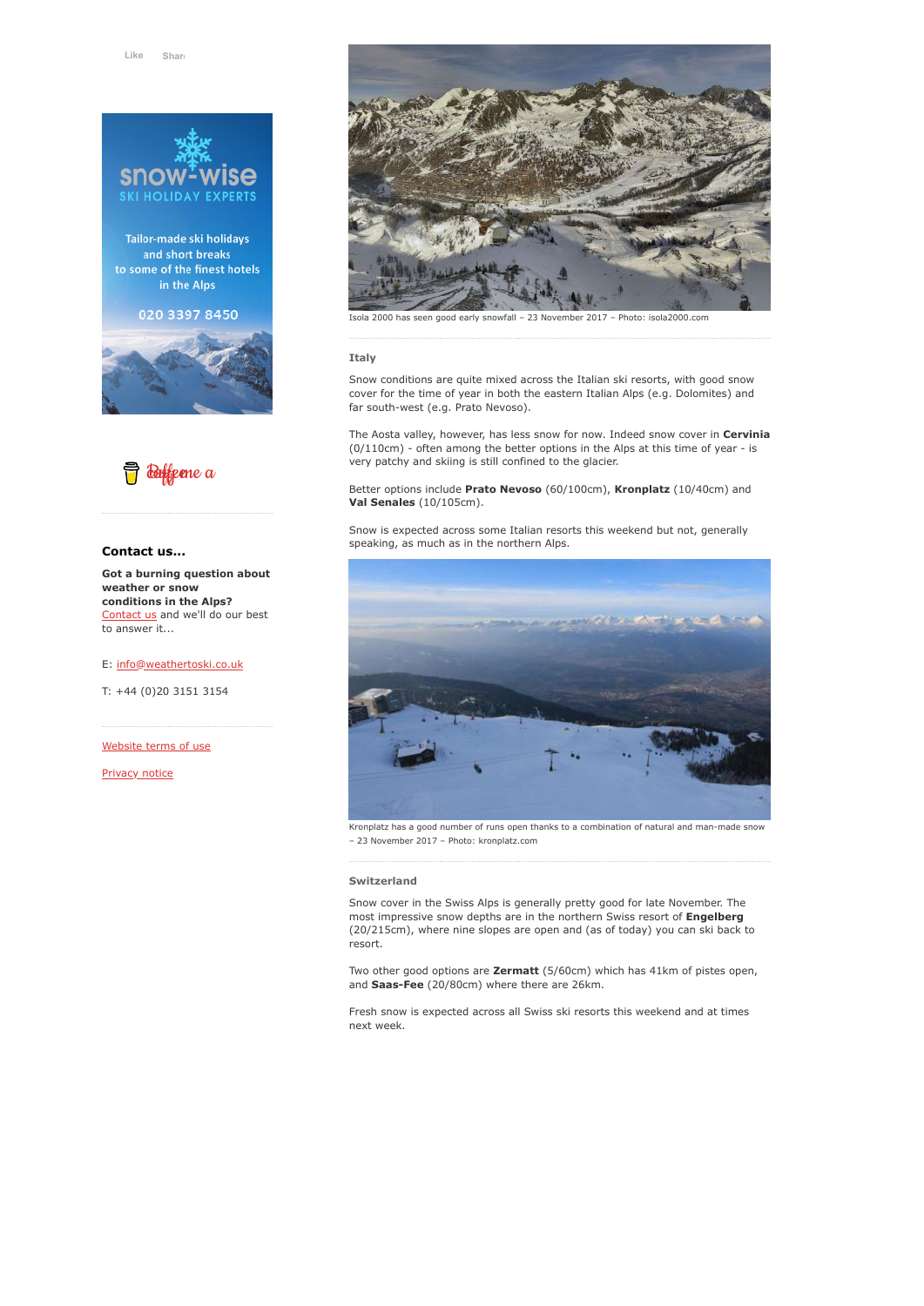

Tailor-made ski holidays and short breaks to some of the finest hotels in the Alps

020 3397 8450





# **Contact us...**

**Got a burning question about weather or snow conditions in the Alps?** [Contact us](https://www.weathertoski.co.uk/about-1/contact-us/) and we'll do our best to answer it...

# E: [info@weathertoski.co.uk](mailto:fraser@weathertoski.co.uk)

T: +44 (0)20 3151 3154

[Website terms of use](https://www.weathertoski.co.uk/about-1/website-terms-of-use/)

[Privacy notice](https://www.weathertoski.co.uk/about-1/privacy-notice/)



has seen good early snowfall – 23 November 2017 – Photo: isola2000.com

# **Italy**

Snow conditions are quite mixed across the Italian ski resorts, with good snow cover for the time of year in both the eastern Italian Alps (e.g. Dolomites) and far south-west (e.g. Prato Nevoso).

The Aosta valley, however, has less snow for now. Indeed snow cover in **Cervinia** (0/110cm) - often among the better options in the Alps at this time of year - is very patchy and skiing is still confined to the glacier.

Better options include **Prato Nevoso** (60/100cm), **Kronplatz** (10/40cm) and **Val Senales** (10/105cm).

Snow is expected across some Italian resorts this weekend but not, generally speaking, as much as in the northern Alps.



Kronplatz has a good number of runs open thanks to a combination of natural and man-made snow – 23 November 2017 – Photo: kronplatz.com

#### **Switzerland**

Snow cover in the Swiss Alps is generally pretty good for late November. The most impressive snow depths are in the northern Swiss resort of **Engelberg** (20/215cm), where nine slopes are open and (as of today) you can ski back to resort.

Two other good options are **Zermatt** (5/60cm) which has 41km of pistes open, and **Saas-Fee** (20/80cm) where there are 26km.

Fresh snow is expected across all Swiss ski resorts this weekend and at times next week.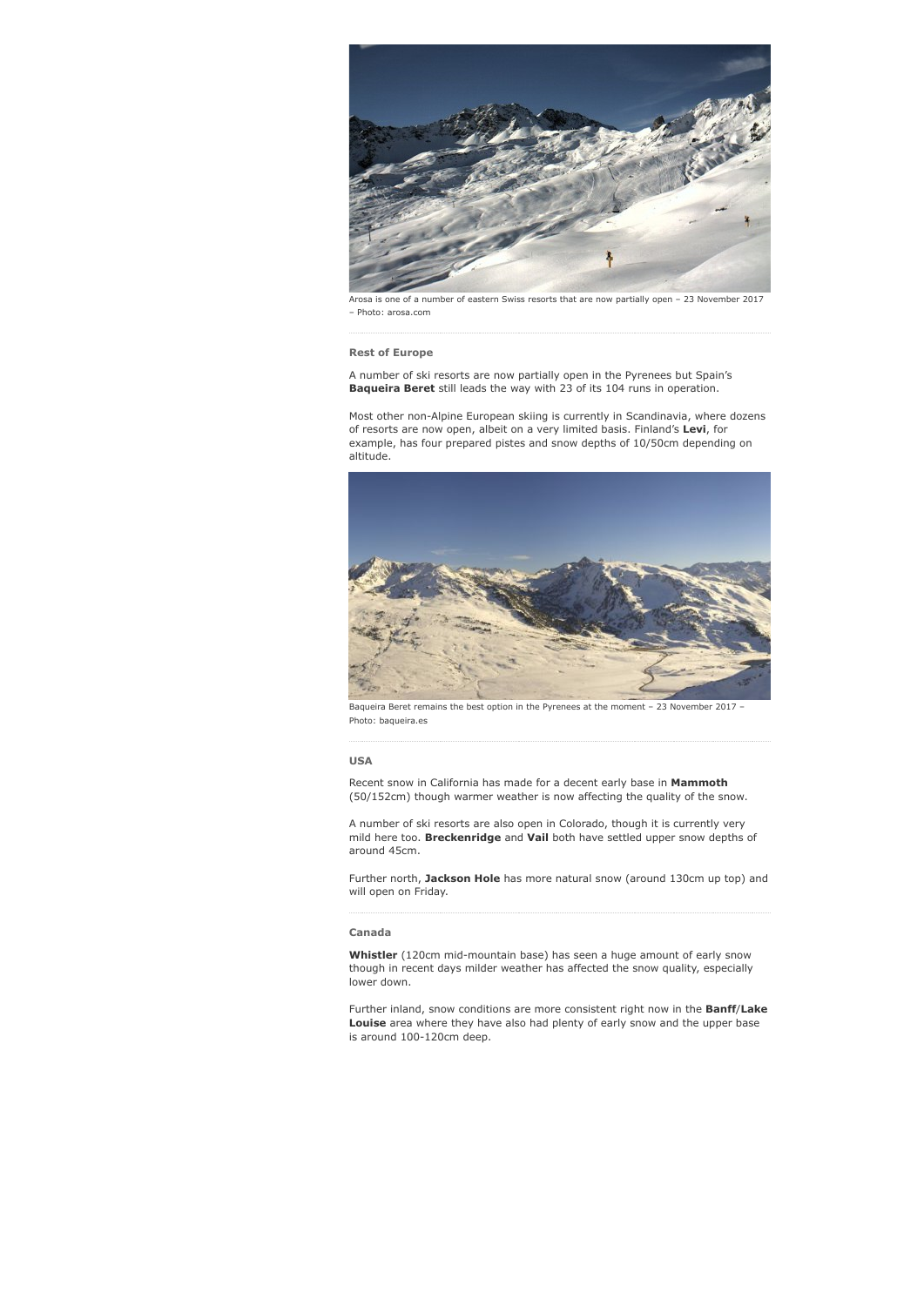

Arosa is one of a number of eastern Swiss resorts that are now partially open – 23 November 2017 – Photo: arosa.com

#### **Rest of Europe**

A number of ski resorts are now partially open in the Pyrenees but Spain's **Baqueira Beret** still leads the way with 23 of its 104 runs in operation.

Most other non-Alpine European skiing is currently in Scandinavia, where dozens of resorts are now open, albeit on a very limited basis. Finland's **Levi**, for example, has four prepared pistes and snow depths of 10/50cm depending on altitude.



Baqueira Beret remains the best option in the Pyrenees at the moment – 23 November 2017 – Photo: baqueira.es

#### **USA**

Recent snow in California has made for a decent early base in **Mammoth** (50/152cm) though warmer weather is now affecting the quality of the snow.

A number of ski resorts are also open in Colorado, though it is currently very mild here too. **Breckenridge** and **Vail** both have settled upper snow depths of around 45cm.

Further north, **Jackson Hole** has more natural snow (around 130cm up top) and will open on Friday.

#### **Canada**

**Whistler** (120cm mid-mountain base) has seen a huge amount of early snow though in recent days milder weather has affected the snow quality, especially lower down.

Further inland, snow conditions are more consistent right now in the **Banff**/**Lake Louise** area where they have also had plenty of early snow and the upper base is around 100-120cm deep.